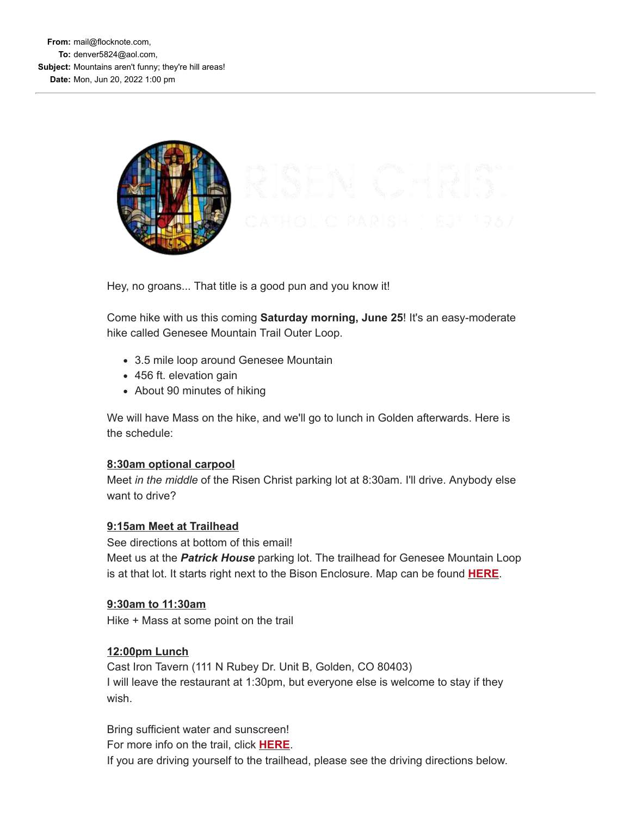

Hey, no groans... That title is a good pun and you know it!

Come hike with us this coming **Saturday morning, June 25**! It's an easy-moderate hike called Genesee Mountain Trail Outer Loop.

- 3.5 mile loop around Genesee Mountain
- 456 ft. elevation gain
- About 90 minutes of hiking

We will have Mass on the hike, and we'll go to lunch in Golden afterwards. Here is the schedule:

## **8:30am optional carpool**

Meet *in the middle* of the Risen Christ parking lot at 8:30am. I'll drive. Anybody else want to drive?

# **9:15am Meet at Trailhead**

See directions at bottom of this email! Meet us at the *Patrick House* parking lot. The trailhead for Genesee Mountain Loop is at that lot. It starts right next to the Bison Enclosure. Map can be found **[HERE](https://email-mg.flocknote.com/c/eJwtj91uwyAMhZ8muSMihgK9yEWlqXd7CIeYFY3gCOiyxx-tJvnn-JN1ZG-LnRVYPcYFJIA0IOer7DkBWI-knQ3opZ7VoGVI7L8zN5o87-NjQTAO1mCu1rvgwwaglAFyF2OdQ63GtDxaO-qgbgPce5znOWFKrWBM9WXSGf0eiQt19ca9P2svnjvFjbv8okyVSOz8zA1jFu9F0VjgTiV6zGKNlf_5oO47rzHRJx6D-giYajc3hUKfatxoxSJqwxa92PEYy7JR_qFycaD7j8jpddgfo-1aVQ)**.

## **9:30am to 11:30am**

Hike + Mass at some point on the trail

# **12:00pm Lunch**

Cast Iron Tavern (111 N Rubey Dr. Unit B, Golden, CO 80403) I will leave the restaurant at 1:30pm, but everyone else is welcome to stay if they wish.

Bring sufficient water and sunscreen!

For more info on the trail, click **[HERE](https://email-mg.flocknote.com/c/eJwtTkuOwyAMPU2yI3IcEpIFi256D4eYKRqCK6DN9YdWI9nvJ-vJhzXjhEb3wSIgwoIwbtB2QDSOWK_GkwM9Tp0GH8X9Jqk8ODn7h108M816B2fMDst2kF9X3MCPOxjt5j7aR63P0k23Du9trusaKMaaKcTyKWnZ1zR-lQZOomQ6pMkfTlyY1SmvVCkk9T1UVRSdnIOjpPZQ5D_vsz04vTnPK-r2Kkn89P8B5RNG_A)**.

If you are driving yourself to the trailhead, please see the driving directions below.